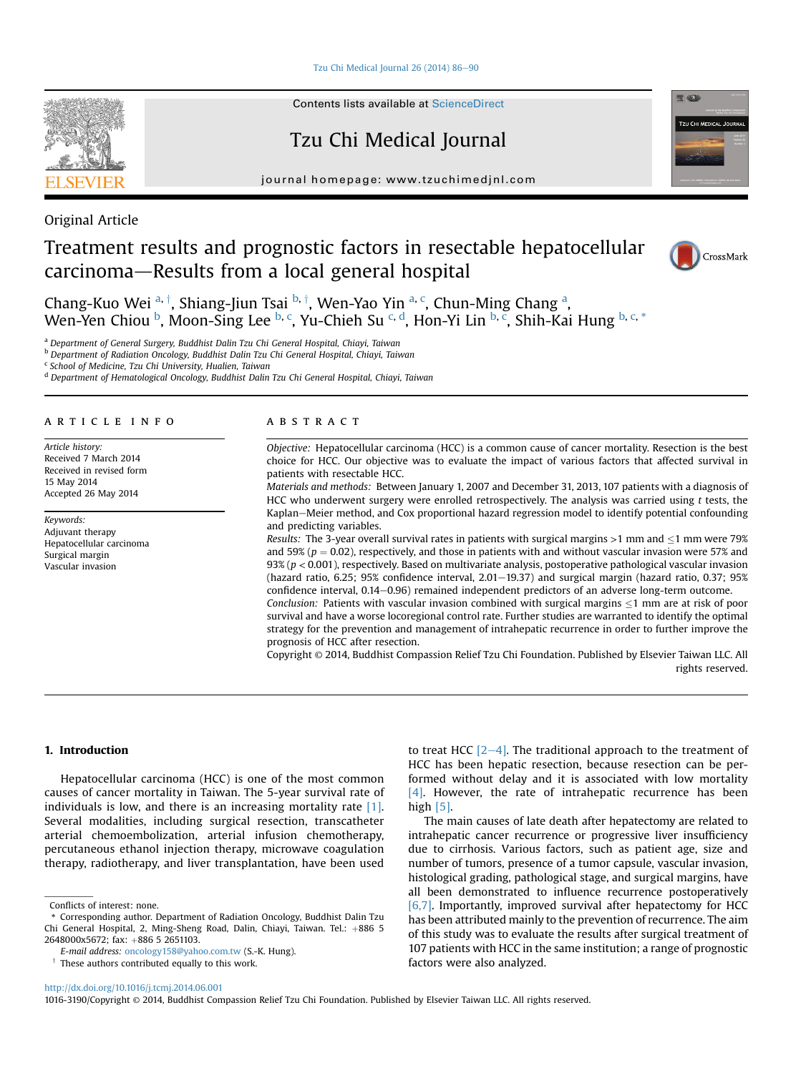[Tzu Chi Medical Journal 26 \(2014\) 86](http://dx.doi.org/10.1016/j.tcmj.2014.06.001)-[90](http://dx.doi.org/10.1016/j.tcmj.2014.06.001)

Contents lists available at [ScienceDirect](www.sciencedirect.com/science/journal/10163190)

Tzu Chi Medical Journal

journal homepage: [www.tzuchimedjnl.com](http://www.tzuchimedjnl.com)



# Original Article

# Treatment results and prognostic factors in resectable hepatocellular carcinoma-Results from a local general hospital



Chang-Kuo Wei <sup>a, †</sup>, Shiang-Jiun Tsai <sup>b, †</sup>, Wen-Yao Yin <sup>a, c</sup>, Chun-Ming Chang <sup>a</sup>, Wen-Yen Chiou <sup>b</sup>, Moon-Sing Lee <sup>b, c</sup>, Yu-Chieh Su <sup>c, d</sup>, Hon-Yi Lin <sup>b, c</sup>, Shih-Kai Hung <sup>b, c, \*</sup>

<sup>a</sup> Department of General Surgery, Buddhist Dalin Tzu Chi General Hospital, Chiayi, Taiwan

<sup>b</sup> Department of Radiation Oncology, Buddhist Dalin Tzu Chi General Hospital, Chiayi, Taiwan

<sup>c</sup> School of Medicine, Tzu Chi University, Hualien, Taiwan

<sup>d</sup> Department of Hematological Oncology, Buddhist Dalin Tzu Chi General Hospital, Chiayi, Taiwan

## article info

Article history: Received 7 March 2014 Received in revised form 15 May 2014 Accepted 26 May 2014

Keywords: Adjuvant therapy Hepatocellular carcinoma Surgical margin Vascular invasion

#### **ABSTRACT**

Objective: Hepatocellular carcinoma (HCC) is a common cause of cancer mortality. Resection is the best choice for HCC. Our objective was to evaluate the impact of various factors that affected survival in patients with resectable HCC.

Materials and methods: Between January 1, 2007 and December 31, 2013, 107 patients with a diagnosis of HCC who underwent surgery were enrolled retrospectively. The analysis was carried using t tests, the Kaplan-Meier method, and Cox proportional hazard regression model to identify potential confounding and predicting variables.

Results: The 3-year overall survival rates in patients with surgical margins  $>$ 1 mm and  $\leq$ 1 mm were 79% and 59% ( $p = 0.02$ ), respectively, and those in patients with and without vascular invasion were 57% and 93% ( $p < 0.001$ ), respectively. Based on multivariate analysis, postoperative pathological vascular invasion (hazard ratio,  $6.25$ ;  $95%$  confidence interval,  $2.01-19.37$ ) and surgical margin (hazard ratio,  $0.37$ ;  $95%$ confidence interval, 0.14–0.96) remained independent predictors of an adverse long-term outcome.

Conclusion: Patients with vascular invasion combined with surgical margins  $\leq$ 1 mm are at risk of poor survival and have a worse locoregional control rate. Further studies are warranted to identify the optimal strategy for the prevention and management of intrahepatic recurrence in order to further improve the prognosis of HCC after resection.

Copyright © 2014, Buddhist Compassion Relief Tzu Chi Foundation. Published by Elsevier Taiwan LLC. All rights reserved.

#### 1. Introduction

Hepatocellular carcinoma (HCC) is one of the most common causes of cancer mortality in Taiwan. The 5-year survival rate of individuals is low, and there is an increasing mortality rate [\[1\].](#page-3-0) Several modalities, including surgical resection, transcatheter arterial chemoembolization, arterial infusion chemotherapy, percutaneous ethanol injection therapy, microwave coagulation therapy, radiotherapy, and liver transplantation, have been used to treat HCC  $[2-4]$  $[2-4]$  $[2-4]$ . The traditional approach to the treatment of HCC has been hepatic resection, because resection can be performed without delay and it is associated with low mortality  $[4]$ . However, the rate of intrahepatic recurrence has been high [\[5\].](#page-4-0)

The main causes of late death after hepatectomy are related to intrahepatic cancer recurrence or progressive liver insufficiency due to cirrhosis. Various factors, such as patient age, size and number of tumors, presence of a tumor capsule, vascular invasion, histological grading, pathological stage, and surgical margins, have all been demonstrated to influence recurrence postoperatively [\[6,7\]](#page-4-0). Importantly, improved survival after hepatectomy for HCC has been attributed mainly to the prevention of recurrence. The aim of this study was to evaluate the results after surgical treatment of 107 patients with HCC in the same institution; a range of prognostic factors were also analyzed.

Conflicts of interest: none.

<sup>\*</sup> Corresponding author. Department of Radiation Oncology, Buddhist Dalin Tzu Chi General Hospital, 2, Ming-Sheng Road, Dalin, Chiayi, Taiwan. Tel.: +886 5 2648000x5672; fax: +886 5 2651103.

E-mail address: [oncology158@yahoo.com.tw](mailto:oncology158@yahoo.com.tw) (S.-K. Hung).

 $\dagger$  These authors contributed equally to this work.

<http://dx.doi.org/10.1016/j.tcmj.2014.06.001>

<sup>1016-3190/</sup>Copyright © 2014, Buddhist Compassion Relief Tzu Chi Foundation. Published by Elsevier Taiwan LLC. All rights reserved.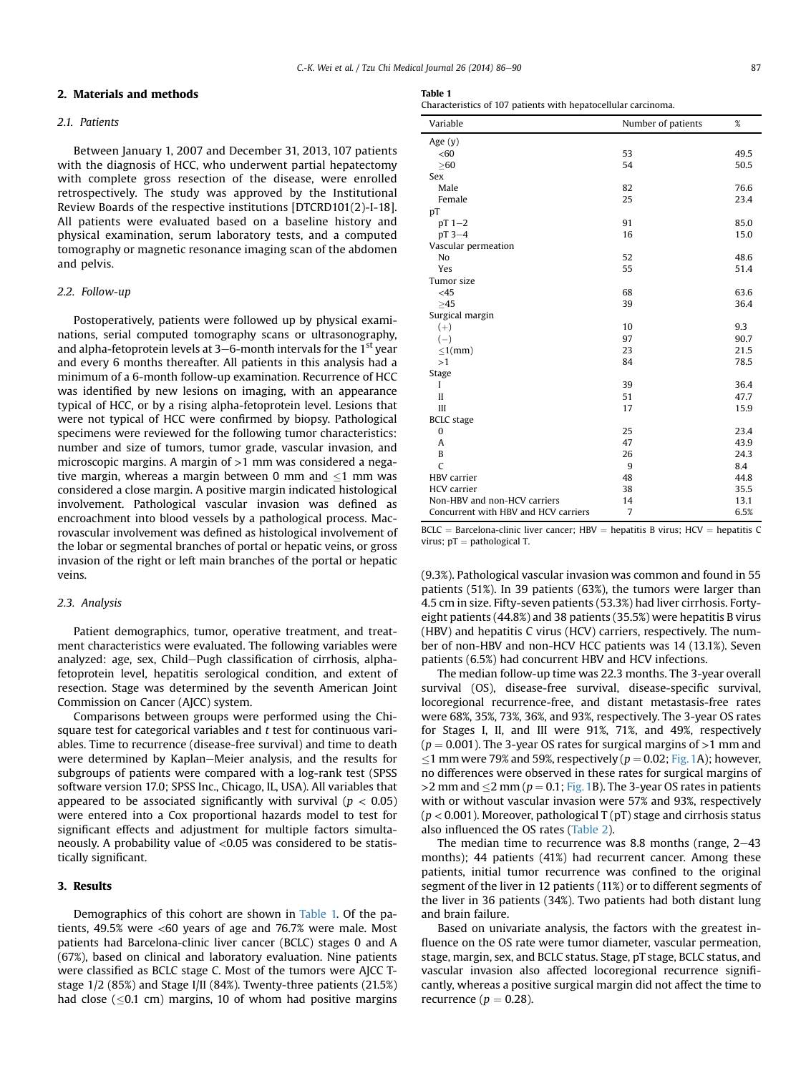## 2. Materials and methods

## 2.1. Patients

Between January 1, 2007 and December 31, 2013, 107 patients with the diagnosis of HCC, who underwent partial hepatectomy with complete gross resection of the disease, were enrolled retrospectively. The study was approved by the Institutional Review Boards of the respective institutions [DTCRD101(2)-I-18]. All patients were evaluated based on a baseline history and physical examination, serum laboratory tests, and a computed tomography or magnetic resonance imaging scan of the abdomen and pelvis.

#### 2.2. Follow-up

Postoperatively, patients were followed up by physical examinations, serial computed tomography scans or ultrasonography, and alpha-fetoprotein levels at  $3-6$ -month intervals for the  $1<sup>st</sup>$  year and every 6 months thereafter. All patients in this analysis had a minimum of a 6-month follow-up examination. Recurrence of HCC was identified by new lesions on imaging, with an appearance typical of HCC, or by a rising alpha-fetoprotein level. Lesions that were not typical of HCC were confirmed by biopsy. Pathological specimens were reviewed for the following tumor characteristics: number and size of tumors, tumor grade, vascular invasion, and microscopic margins. A margin of >1 mm was considered a negative margin, whereas a margin between 0 mm and  $\leq$ 1 mm was considered a close margin. A positive margin indicated histological involvement. Pathological vascular invasion was defined as encroachment into blood vessels by a pathological process. Macrovascular involvement was defined as histological involvement of the lobar or segmental branches of portal or hepatic veins, or gross invasion of the right or left main branches of the portal or hepatic veins.

#### 2.3. Analysis

Patient demographics, tumor, operative treatment, and treatment characteristics were evaluated. The following variables were analyzed: age, sex, Child-Pugh classification of cirrhosis, alphafetoprotein level, hepatitis serological condition, and extent of resection. Stage was determined by the seventh American Joint Commission on Cancer (AJCC) system.

Comparisons between groups were performed using the Chisquare test for categorical variables and  $t$  test for continuous variables. Time to recurrence (disease-free survival) and time to death were determined by Kaplan–Meier analysis, and the results for subgroups of patients were compared with a log-rank test (SPSS software version 17.0; SPSS Inc., Chicago, IL, USA). All variables that appeared to be associated significantly with survival ( $p < 0.05$ ) were entered into a Cox proportional hazards model to test for significant effects and adjustment for multiple factors simultaneously. A probability value of <0.05 was considered to be statistically significant.

#### 3. Results

Demographics of this cohort are shown in Table 1. Of the patients, 49.5% were <60 years of age and 76.7% were male. Most patients had Barcelona-clinic liver cancer (BCLC) stages 0 and A (67%), based on clinical and laboratory evaluation. Nine patients were classified as BCLC stage C. Most of the tumors were AJCC Tstage 1/2 (85%) and Stage I/II (84%). Twenty-three patients (21.5%) had close ( $\leq$ 0.1 cm) margins, 10 of whom had positive margins

Characteristics of 107 patients with hepatocellular carcinoma.

| Variable                             | Number of patients | %    |
|--------------------------------------|--------------------|------|
| Age $(y)$                            |                    |      |
| < 60                                 | 53                 | 49.5 |
| >60                                  | 54                 | 50.5 |
| <b>Sex</b>                           |                    |      |
| Male                                 | 82                 | 76.6 |
| Female                               | 25                 | 23.4 |
| pT                                   |                    |      |
| $pT$ 1-2                             | 91                 | 85.0 |
| pT 3-4                               | 16                 | 15.0 |
| Vascular permeation                  |                    |      |
| No                                   | 52                 | 48.6 |
| Yes                                  | 55                 | 51.4 |
| Tumor size                           |                    |      |
| $<$ 45                               | 68                 | 63.6 |
| >45                                  | 39                 | 36.4 |
| Surgical margin                      |                    |      |
| $(+)$                                | 10                 | 9.3  |
| $(-)$                                | 97                 | 90.7 |
| $\leq 1$ (mm)                        | 23                 | 21.5 |
| >1                                   | 84                 | 78.5 |
| Stage                                |                    |      |
| I                                    | 39                 | 36.4 |
| $\mathbf{I}$                         | 51                 | 47.7 |
| III                                  | 17                 | 15.9 |
| <b>BCLC</b> stage                    |                    |      |
| 0                                    | 25                 | 23.4 |
| Α                                    | 47                 | 43.9 |
| B                                    | 26                 | 24.3 |
| C                                    | 9                  | 8.4  |
| <b>HBV</b> carrier                   | 48                 | 44.8 |
| <b>HCV</b> carrier                   | 38                 | 35.5 |
| Non-HBV and non-HCV carriers         | 14                 | 13.1 |
| Concurrent with HBV and HCV carriers | 7                  | 6.5% |

 $BCLC = Barcelona-clinic$  liver cancer; HBV = hepatitis B virus; HCV = hepatitis C virus;  $pT =$  pathological T.

(9.3%). Pathological vascular invasion was common and found in 55 patients (51%). In 39 patients (63%), the tumors were larger than 4.5 cm in size. Fifty-seven patients (53.3%) had liver cirrhosis. Fortyeight patients (44.8%) and 38 patients (35.5%) were hepatitis B virus (HBV) and hepatitis C virus (HCV) carriers, respectively. The number of non-HBV and non-HCV HCC patients was 14 (13.1%). Seven patients (6.5%) had concurrent HBV and HCV infections.

The median follow-up time was 22.3 months. The 3-year overall survival (OS), disease-free survival, disease-specific survival, locoregional recurrence-free, and distant metastasis-free rates were 68%, 35%, 73%, 36%, and 93%, respectively. The 3-year OS rates for Stages I, II, and III were 91%, 71%, and 49%, respectively ( $p = 0.001$ ). The 3-year OS rates for surgical margins of >1 mm and  $\leq$ 1 mm were 79% and 59%, respectively ( $p = 0.02$ ; [Fig. 1](#page-2-0)A); however, no differences were observed in these rates for surgical margins of  $>$ 2 mm and  $\leq$ 2 mm ( $p = 0.1$ ; [Fig. 1B](#page-2-0)). The 3-year OS rates in patients with or without vascular invasion were 57% and 93%, respectively  $(p < 0.001)$ . Moreover, pathological T (pT) stage and cirrhosis status also influenced the OS rates ([Table 2\)](#page-2-0).

The median time to recurrence was 8.8 months (range,  $2-43$ ) months); 44 patients (41%) had recurrent cancer. Among these patients, initial tumor recurrence was confined to the original segment of the liver in 12 patients (11%) or to different segments of the liver in 36 patients (34%). Two patients had both distant lung and brain failure.

Based on univariate analysis, the factors with the greatest influence on the OS rate were tumor diameter, vascular permeation, stage, margin, sex, and BCLC status. Stage, pT stage, BCLC status, and vascular invasion also affected locoregional recurrence significantly, whereas a positive surgical margin did not affect the time to recurrence ( $p = 0.28$ ).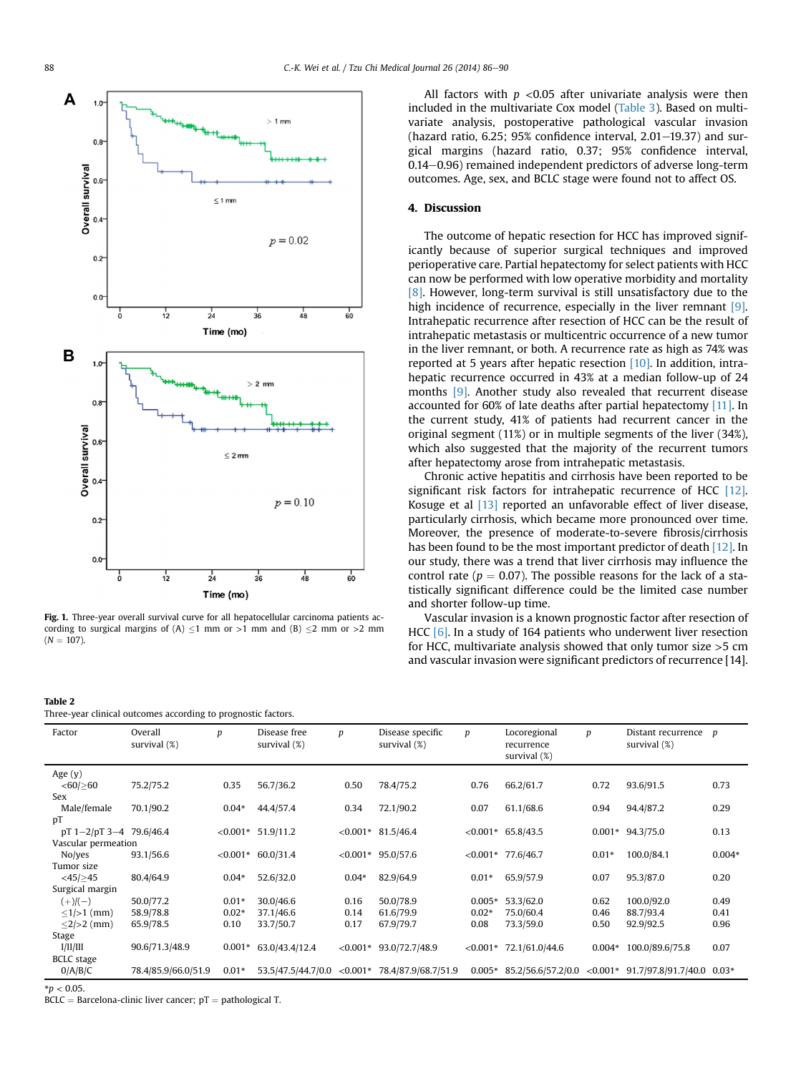<span id="page-2-0"></span>

Fig. 1. Three-year overall survival curve for all hepatocellular carcinoma patients according to surgical margins of  $(A) \leq 1$  mm or  $>1$  mm and  $(B) \leq 2$  mm or  $>2$  mm  $(N = 107)$ .

#### Table 2

Three-year clinical outcomes according to prognostic factors.

All factors with  $p < 0.05$  after univariate analysis were then included in the multivariate Cox model [\(Table 3\)](#page-3-0). Based on multivariate analysis, postoperative pathological vascular invasion (hazard ratio,  $6.25$ ;  $95%$  confidence interval,  $2.01-19.37$ ) and surgical margins (hazard ratio, 0.37; 95% confidence interval, 0.14-0.96) remained independent predictors of adverse long-term outcomes. Age, sex, and BCLC stage were found not to affect OS.

## 4. Discussion

The outcome of hepatic resection for HCC has improved significantly because of superior surgical techniques and improved perioperative care. Partial hepatectomy for select patients with HCC can now be performed with low operative morbidity and mortality [\[8\]](#page-4-0). However, long-term survival is still unsatisfactory due to the high incidence of recurrence, especially in the liver remnant [\[9\].](#page-4-0) Intrahepatic recurrence after resection of HCC can be the result of intrahepatic metastasis or multicentric occurrence of a new tumor in the liver remnant, or both. A recurrence rate as high as 74% was reported at 5 years after hepatic resection [\[10\]](#page-4-0). In addition, intrahepatic recurrence occurred in 43% at a median follow-up of 24 months [\[9\]](#page-4-0). Another study also revealed that recurrent disease accounted for 60% of late deaths after partial hepatectomy [\[11\].](#page-4-0) In the current study, 41% of patients had recurrent cancer in the original segment (11%) or in multiple segments of the liver (34%), which also suggested that the majority of the recurrent tumors after hepatectomy arose from intrahepatic metastasis.

Chronic active hepatitis and cirrhosis have been reported to be significant risk factors for intrahepatic recurrence of HCC [\[12\].](#page-4-0) Kosuge et al [\[13\]](#page-4-0) reported an unfavorable effect of liver disease, particularly cirrhosis, which became more pronounced over time. Moreover, the presence of moderate-to-severe fibrosis/cirrhosis has been found to be the most important predictor of death [\[12\]](#page-4-0). In our study, there was a trend that liver cirrhosis may influence the control rate ( $p = 0.07$ ). The possible reasons for the lack of a statistically significant difference could be the limited case number and shorter follow-up time.

Vascular invasion is a known prognostic factor after resection of HCC [\[6\].](#page-4-0) In a study of 164 patients who underwent liver resection for HCC, multivariate analysis showed that only tumor size >5 cm and vascular invasion were significant predictors of recurrence [14].

| Factor                    | Overall<br>survival $(\%)$ | p        | Disease free<br>survival $(\%)$ | p           | Disease specific<br>survival $(\%)$ | p           | Locoregional<br>recurrence<br>survival $(\%)$ | p        | Distant recurrence<br>survival (%)   | $\boldsymbol{p}$ |
|---------------------------|----------------------------|----------|---------------------------------|-------------|-------------------------------------|-------------|-----------------------------------------------|----------|--------------------------------------|------------------|
| Age $(y)$                 |                            |          |                                 |             |                                     |             |                                               |          |                                      |                  |
| $<$ 60/ $\geq$ 60         | 75.2/75.2                  | 0.35     | 56.7/36.2                       | 0.50        | 78.4/75.2                           | 0.76        | 66.2/61.7                                     | 0.72     | 93.6/91.5                            | 0.73             |
| Sex                       |                            |          |                                 |             |                                     |             |                                               |          |                                      |                  |
| Male/female               | 70.1/90.2                  | $0.04*$  | 44.4/57.4                       | 0.34        | 72.1/90.2                           | 0.07        | 61.1/68.6                                     | 0.94     | 94.4/87.2                            | 0.29             |
| pT                        |                            |          |                                 |             |                                     |             |                                               |          |                                      |                  |
| $pT$ 1-2/pT 3-4 79.6/46.4 |                            |          | $< 0.001*$ 51.9/11.2            |             | $< 0.001*$ 81.5/46.4                |             | $< 0.001*$ 65.8/43.5                          |          | $0.001*$ 94.3/75.0                   | 0.13             |
| Vascular permeation       |                            |          |                                 |             |                                     |             |                                               |          |                                      |                  |
| No/yes                    | 93.1/56.6                  |          | $< 0.001* 60.0/31.4$            |             | $< 0.001*$ 95.0/57.6                |             | $< 0.001*$ 77.6/46.7                          | $0.01*$  | 100.0/84.1                           | $0.004*$         |
| Tumor size                |                            |          |                                 |             |                                     |             |                                               |          |                                      |                  |
| $<$ 45/ $\geq$ 45         | 80.4/64.9                  | $0.04*$  | 52.6/32.0                       | $0.04*$     | 82.9/64.9                           | $0.01*$     | 65.9/57.9                                     | 0.07     | 95.3/87.0                            | 0.20             |
| Surgical margin           |                            |          |                                 |             |                                     |             |                                               |          |                                      |                  |
| $(+)/(-)$                 | 50.0/77.2                  | $0.01*$  | 30.0/46.6                       | 0.16        | 50.0/78.9                           | $0.005*$    | 53.3/62.0                                     | 0.62     | 100.0/92.0                           | 0.49             |
| $\leq$ 1/>1 (mm)          | 58.9/78.8                  | $0.02*$  | 37.1/46.6                       | 0.14        | 61.6/79.9                           | $0.02*$     | 75.0/60.4                                     | 0.46     | 88.7/93.4                            | 0.41             |
| $\leq$ 2/>2 (mm)          | 65.9/78.5                  | 0.10     | 33.7/50.7                       | 0.17        | 67.9/79.7                           | 0.08        | 73.3/59.0                                     | 0.50     | 92.9/92.5                            | 0.96             |
| Stage                     |                            |          |                                 |             |                                     |             |                                               |          |                                      |                  |
| I/II/III                  | 90.6/71.3/48.9             | $0.001*$ | 63.0/43.4/12.4                  | ${<}0.001*$ | 93.0/72.7/48.9                      | ${<}0.001*$ | 72.1/61.0/44.6                                | $0.004*$ | 100.0/89.6/75.8                      | 0.07             |
| <b>BCLC</b> stage         |                            |          |                                 |             |                                     |             |                                               |          |                                      |                  |
| 0/A/B/C                   | 78.4/85.9/66.0/51.9        | $0.01*$  | 53.5/47.5/44.7/0.0              | ${<}0.001*$ | 78.4/87.9/68.7/51.9                 | $0.005*$    | 85.2/56.6/57.2/0.0                            |          | $< 0.001*$ 91.7/97.8/91.7/40.0 0.03* |                  |

 $BCLC = Barcelona-clinic$  liver cancer;  $pT = pathological T$ .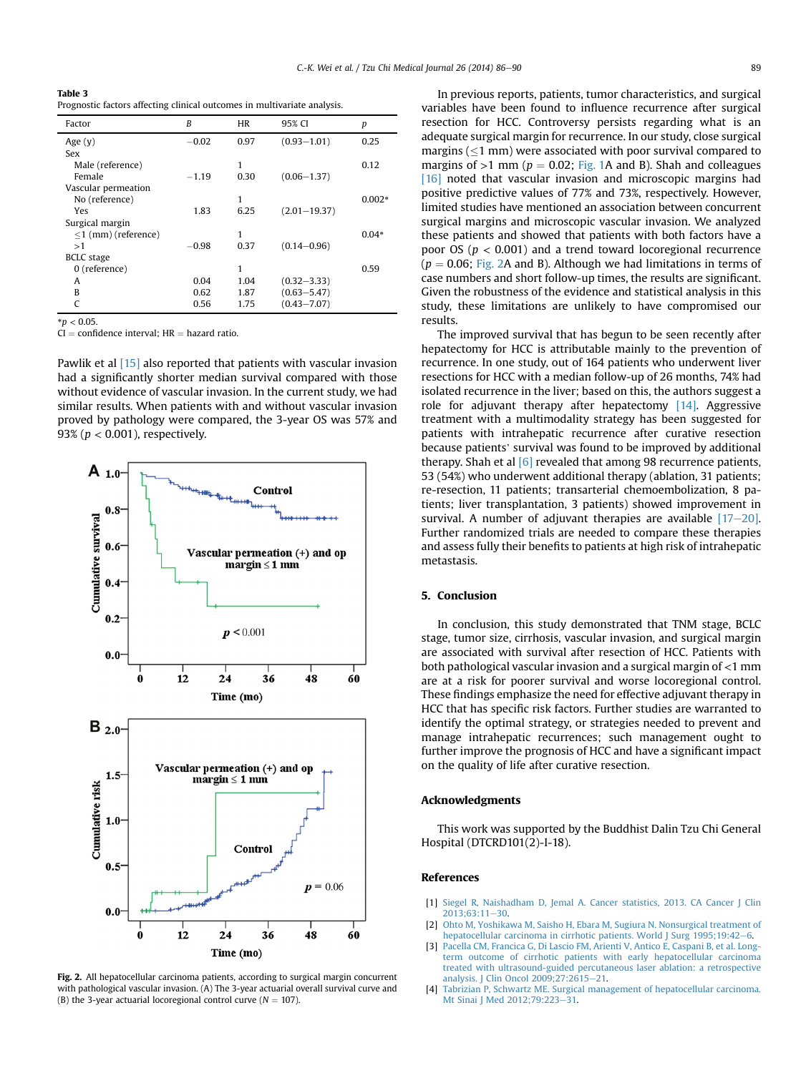<span id="page-3-0"></span>Table 3 Prognostic factors affecting clinical outcomes in multivariate analysis.

| Factor                 | B       | HR   | 95% CI           | р        |
|------------------------|---------|------|------------------|----------|
| Age $(y)$              | $-0.02$ | 0.97 | $(0.93 - 1.01)$  | 0.25     |
| Sex                    |         |      |                  |          |
| Male (reference)       |         | 1    |                  | 0.12     |
| Female                 | $-1.19$ | 0.30 | $(0.06 - 1.37)$  |          |
| Vascular permeation    |         |      |                  |          |
| No (reference)         |         | 1    |                  | $0.002*$ |
| Yes                    | 1.83    | 6.25 | $(2.01 - 19.37)$ |          |
| Surgical margin        |         |      |                  |          |
| $<$ 1 (mm) (reference) |         | 1    |                  | $0.04*$  |
| >1                     | $-0.98$ | 0.37 | $(0.14 - 0.96)$  |          |
| <b>BCLC</b> stage      |         |      |                  |          |
| 0 (reference)          |         | 1    |                  | 0.59     |
| A                      | 0.04    | 1.04 | $(0.32 - 3.33)$  |          |
| R                      | 0.62    | 1.87 | $(0.63 - 5.47)$  |          |
|                        | 0.56    | 1.75 | $(0.43 - 7.07)$  |          |

 $* p < 0.05$ .

 $\overrightarrow{CI}$  = confidence interval; HR = hazard ratio.

Pawlik et al [\[15\]](#page-4-0) also reported that patients with vascular invasion had a significantly shorter median survival compared with those without evidence of vascular invasion. In the current study, we had similar results. When patients with and without vascular invasion proved by pathology were compared, the 3-year OS was 57% and 93% ( $p < 0.001$ ), respectively.



Fig. 2. All hepatocellular carcinoma patients, according to surgical margin concurrent with pathological vascular invasion. (A) The 3-year actuarial overall survival curve and (B) the 3-year actuarial locoregional control curve ( $N = 107$ ).

In previous reports, patients, tumor characteristics, and surgical variables have been found to influence recurrence after surgical resection for HCC. Controversy persists regarding what is an adequate surgical margin for recurrence. In our study, close surgical margins ( $\leq$ 1 mm) were associated with poor survival compared to margins of  $>1$  mm ( $p = 0.02$ ; [Fig. 1](#page-2-0)A and B). Shah and colleagues [\[16\]](#page-4-0) noted that vascular invasion and microscopic margins had positive predictive values of 77% and 73%, respectively. However, limited studies have mentioned an association between concurrent surgical margins and microscopic vascular invasion. We analyzed these patients and showed that patients with both factors have a poor OS ( $p < 0.001$ ) and a trend toward locoregional recurrence  $(p = 0.06;$  Fig. 2A and B). Although we had limitations in terms of case numbers and short follow-up times, the results are significant. Given the robustness of the evidence and statistical analysis in this study, these limitations are unlikely to have compromised our results.

The improved survival that has begun to be seen recently after hepatectomy for HCC is attributable mainly to the prevention of recurrence. In one study, out of 164 patients who underwent liver resections for HCC with a median follow-up of 26 months, 74% had isolated recurrence in the liver; based on this, the authors suggest a role for adjuvant therapy after hepatectomy [\[14\].](#page-4-0) Aggressive treatment with a multimodality strategy has been suggested for patients with intrahepatic recurrence after curative resection because patients' survival was found to be improved by additional therapy. Shah et al [\[6\]](#page-4-0) revealed that among 98 recurrence patients, 53 (54%) who underwent additional therapy (ablation, 31 patients; re-resection, 11 patients; transarterial chemoembolization, 8 patients; liver transplantation, 3 patients) showed improvement in survival. A number of adjuvant therapies are available  $[17-20]$  $[17-20]$ . Further randomized trials are needed to compare these therapies and assess fully their benefits to patients at high risk of intrahepatic metastasis.

## 5. Conclusion

In conclusion, this study demonstrated that TNM stage, BCLC stage, tumor size, cirrhosis, vascular invasion, and surgical margin are associated with survival after resection of HCC. Patients with both pathological vascular invasion and a surgical margin of <1 mm are at a risk for poorer survival and worse locoregional control. These findings emphasize the need for effective adjuvant therapy in HCC that has specific risk factors. Further studies are warranted to identify the optimal strategy, or strategies needed to prevent and manage intrahepatic recurrences; such management ought to further improve the prognosis of HCC and have a significant impact on the quality of life after curative resection.

#### Acknowledgments

This work was supported by the Buddhist Dalin Tzu Chi General Hospital (DTCRD101(2)-I-18).

#### References

- [1] [Siegel R, Naishadham D, Jemal A. Cancer statistics, 2013. CA Cancer J Clin](http://refhub.elsevier.com/S1016-3190(14)00040-8/sref1)  $2013:63:11-30$
- [2] [Ohto M, Yoshikawa M, Saisho H, Ebara M, Sugiura N. Nonsurgical treatment of](http://refhub.elsevier.com/S1016-3190(14)00040-8/sref2) [hepatocellular carcinoma in cirrhotic patients. World J Surg 1995;19:42](http://refhub.elsevier.com/S1016-3190(14)00040-8/sref2)-[6.](http://refhub.elsevier.com/S1016-3190(14)00040-8/sref2)
- [3] [Pacella CM, Francica G, Di Lascio FM, Arienti V, Antico E, Caspani B, et al. Long](http://refhub.elsevier.com/S1016-3190(14)00040-8/sref3)[term outcome of cirrhotic patients with early hepatocellular carcinoma](http://refhub.elsevier.com/S1016-3190(14)00040-8/sref3) [treated with ultrasound-guided percutaneous laser ablation: a retrospective](http://refhub.elsevier.com/S1016-3190(14)00040-8/sref3) analysis. J Clin Oncol 2009:27:2615-[21](http://refhub.elsevier.com/S1016-3190(14)00040-8/sref3).
- [4] [Tabrizian P, Schwartz ME. Surgical management of hepatocellular carcinoma.](http://refhub.elsevier.com/S1016-3190(14)00040-8/sref4) [Mt Sinai J Med 2012;79:223](http://refhub.elsevier.com/S1016-3190(14)00040-8/sref4)-[31](http://refhub.elsevier.com/S1016-3190(14)00040-8/sref4).